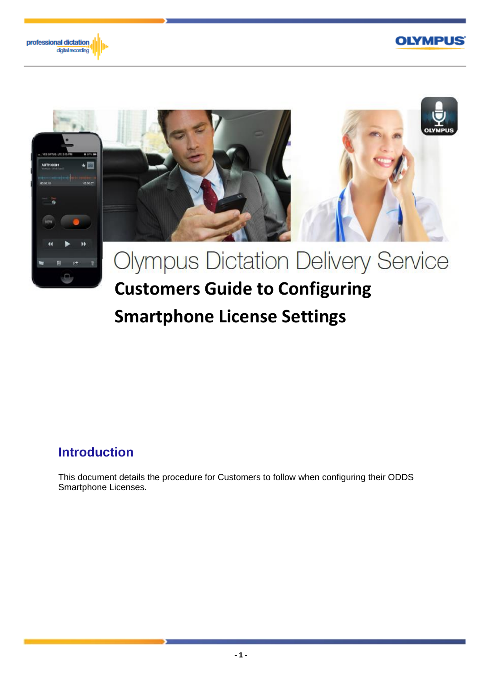





# **Smartphone License Settings**

# **Introduction**

This document details the procedure for Customers to follow when configuring their ODDS Smartphone Licenses.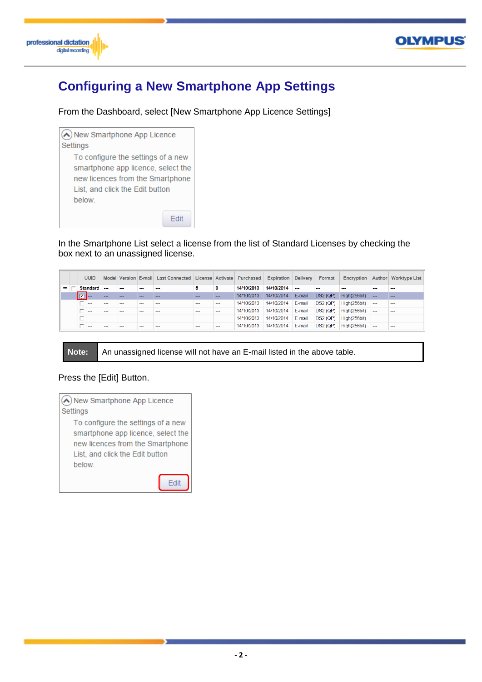



# **Configuring a New Smartphone App Settings**

From the Dashboard, select [New Smartphone App Licence Settings]



In the Smartphone List select a license from the list of Standard Licenses by checking the box next to an unassigned license.

|   | <b>UUID</b>    |         |     |         | Model Version E-mail Last Connected License Activate |     |          | <b>Purchased</b> | Expiration | <b>Delivery</b> | Format          | Encryption   | Author  | <b>Worktype List</b>     |
|---|----------------|---------|-----|---------|------------------------------------------------------|-----|----------|------------------|------------|-----------------|-----------------|--------------|---------|--------------------------|
| - | Standard       | $\sim$  |     |         |                                                      | 5   | 0        | 14/10/2013       | 14/10/2014 |                 | $\sim$          |              |         | $\overline{\phantom{a}}$ |
|   | <b>IV</b><br>. | ---     |     |         | ---                                                  | --- | $-$      | 14/10/2013       | 14/10/2014 | E-mail          | DS2(QP)         | High(256bit) | ---     | ---                      |
|   | $\cdots$       | ---     | --- |         | ---                                                  | --- | $\cdots$ | 14/10/2013       | 14/10/2014 | E-mail          | $DS2$ (QP)      | High(256bit) | ---     | ---                      |
|   | $\sim$         | ---     | --- | ---     | ---                                                  | --- | $\sim$   | 14/10/2013       | 14/10/2014 | E-mail          | <b>DS2 (QP)</b> | High(256bit) | ---     | $-$                      |
|   | $\sim$         | $- - -$ | --- | $- - -$ | $- - -$                                              | --- | $\sim$   | 14/10/2013       | 14/10/2014 | E-mail          | DS2 (QP)        | High(256bit) | $- - -$ | $\sim$                   |
|   | -              | ---     | --- | ---     | ---                                                  | --- | ---      | 14/10/2013       | 14/10/2014 | E-mail          | DS2(QP)         | High(256bit) | $-$     | ---                      |

**Note:** An unassigned license will not have an E-mail listed in the above table.

#### Press the [Edit] Button.

```
New Smartphone App Licence
Settings
   To configure the settings of a new
   smartphone app licence, select the
   new licences from the Smartphone
   List, and click the Edit button
   below.
                               Edit
```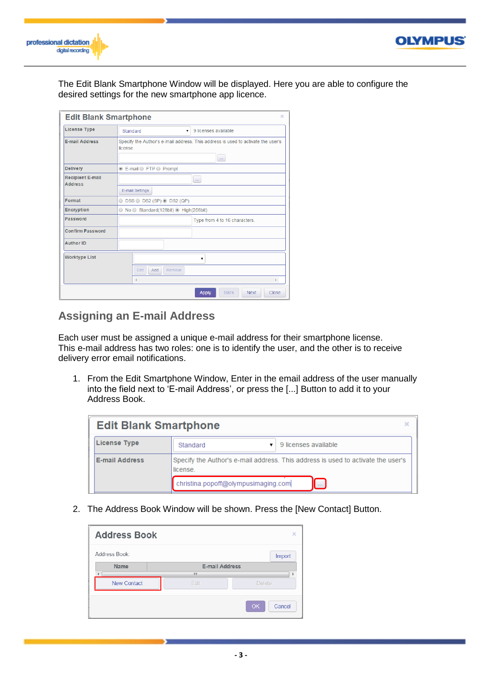



The Edit Blank Smartphone Window will be displayed. Here you are able to configure the desired settings for the new smartphone app licence.

| <b>Edit Blank Smartphone</b>              | ×                                                                                           |
|-------------------------------------------|---------------------------------------------------------------------------------------------|
| <b>License Type</b>                       | 9 licenses available<br>Standard<br>7                                                       |
| <b>E-mail Address</b>                     | Specify the Author's e-mail address. This address is used to activate the user's<br>license |
|                                           | $\sim$                                                                                      |
| <b>Delivery</b>                           | <b>■ E-mail ● FTP ● Prompt</b>                                                              |
| <b>Recipient E-mail</b><br><b>Address</b> | $\sim$                                                                                      |
|                                           | E-mail Settings                                                                             |
| Format                                    | $\circ$ DSS $\circ$ DS2 (SP) $\circ$ DS2 (QP)                                               |
| <b>Encryption</b>                         | $\circ$ No $\circ$ Standard(128bit) $\circ$ High(256bit)                                    |
| Password                                  | Type from 4 to 16 characters.                                                               |
| <b>Confirm Password</b>                   |                                                                                             |
| <b>Author ID</b>                          |                                                                                             |
| <b>Worktype List</b>                      | ۰<br>Edit<br>Add<br>Remove<br>k.                                                            |
|                                           | <b>Back</b><br><b>Next</b><br>Close<br><b>Apply</b>                                         |

# **Assigning an E-mail Address**

Each user must be assigned a unique e-mail address for their smartphone license. This e-mail address has two roles: one is to identify the user, and the other is to receive delivery error email notifications.

1. From the Edit Smartphone Window, Enter in the email address of the user manually into the field next to 'E-mail Address', or press the [...] Button to add it to your Address Book.

| <b>Edit Blank Smartphone</b> |                                                                                              |  |  |  |  |  |  |  |
|------------------------------|----------------------------------------------------------------------------------------------|--|--|--|--|--|--|--|
| <b>License Type</b>          | 9 licenses available<br>Standard                                                             |  |  |  |  |  |  |  |
| <b>E-mail Address</b>        | Specify the Author's e-mail address. This address is used to activate the user's<br>license. |  |  |  |  |  |  |  |
|                              | christina.popoff@olympusimaging.com<br><b>Contract</b>                                       |  |  |  |  |  |  |  |

2. The Address Book Window will be shown. Press the [New Contact] Button.

| <b>Address Book</b> |                       | ×            |
|---------------------|-----------------------|--------------|
| Address Book:       |                       | Import       |
| Name                | <b>E-mail Address</b> |              |
|                     | Ш                     |              |
| <b>New Contact</b>  | Edit                  | Delete       |
|                     |                       | OK<br>Cancel |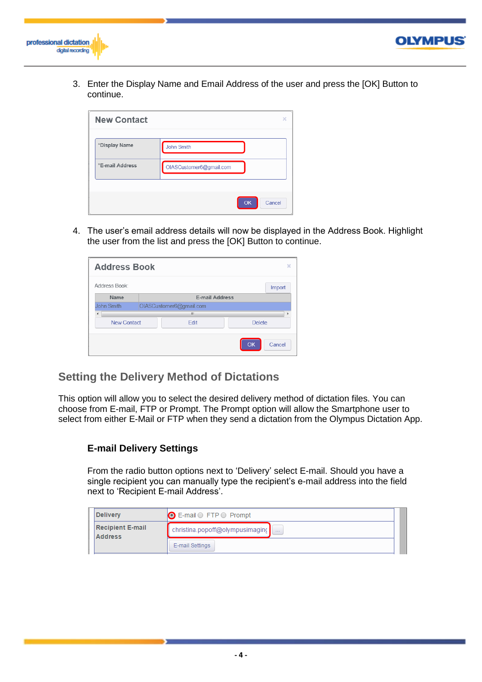



**OLYMPUS** 

| <b>New Contact</b> |                         | ×      |
|--------------------|-------------------------|--------|
| *Display Name      | John Smith              |        |
| *E-mail Address    | OIASCustomer6@gmail.com |        |
|                    | OK                      | Cancel |

4. The user's email address details will now be displayed in the Address Book. Highlight the user from the list and press the [OK] Button to continue.

| <b>Address Book</b> | ×                       |               |
|---------------------|-------------------------|---------------|
| Address Book:       |                         | Import        |
| Name                | <b>E-mail Address</b>   |               |
| John Smith          | OIASCustomer6@gmail.com |               |
| ∢                   | ш                       | Þ             |
| <b>New Contact</b>  | Edit                    | <b>Delete</b> |
|                     |                         | Cancel<br>OK  |

## **Setting the Delivery Method of Dictations**

This option will allow you to select the desired delivery method of dictation files. You can choose from E-mail, FTP or Prompt. The Prompt option will allow the Smartphone user to select from either E-Mail or FTP when they send a dictation from the Olympus Dictation App.

#### **E-mail Delivery Settings**

From the radio button options next to 'Delivery' select E-mail. Should you have a single recipient you can manually type the recipient's e-mail address into the field next to 'Recipient E-mail Address'.

| <b>Delivery</b>                           | $\bigcirc$ E-mail $\bigcirc$ FTP $\bigcirc$ Prompt           |  |
|-------------------------------------------|--------------------------------------------------------------|--|
| <b>Recipient E-mail</b><br><b>Address</b> | christina.popoff@olympusimaging<br>$\mathbf{r} = \mathbf{r}$ |  |
|                                           | E-mail Settings                                              |  |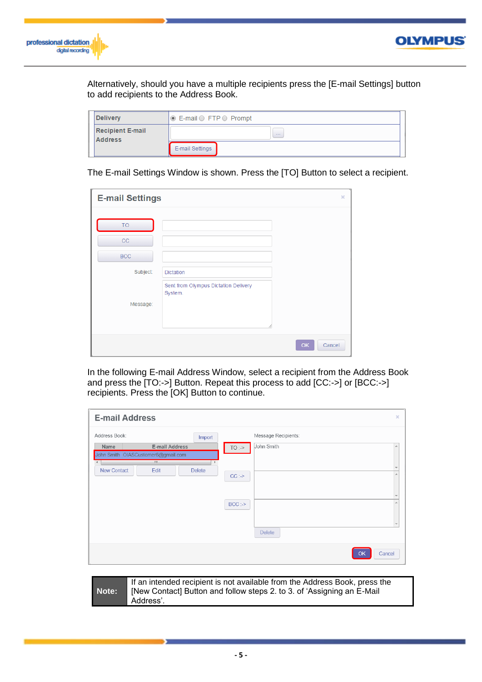



Alternatively, should you have a multiple recipients press the [E-mail Settings] button to add recipients to the Address Book.

| <b>Delivery</b>                           | $\circ$ E-mail $\circ$ FTP $\circ$ Prompt |
|-------------------------------------------|-------------------------------------------|
| <b>Recipient E-mail</b><br><b>Address</b> | <b>STATE</b>                              |
|                                           | E-mail Settings                           |

The E-mail Settings Window is shown. Press the [TO] Button to select a recipient.

| <b>E-mail Settings</b> |                                                 | ×            |
|------------------------|-------------------------------------------------|--------------|
| <b>TO</b><br>CC        |                                                 |              |
| <b>BCC</b>             |                                                 |              |
| Subject:               | <b>Dictation</b>                                |              |
|                        | Sent from Olympus Dictation Delivery<br>System. |              |
| Message:               |                                                 |              |
|                        |                                                 | OK<br>Cancel |

In the following E-mail Address Window, select a recipient from the Address Book and press the [TO:->] Button. Repeat this process to add [CC:->] or [BCC:->] recipients. Press the [OK] Button to continue.

| <b>E-mail Address</b>                          |                                                      |               | $\pmb{\times}$                                                                                          |  |
|------------------------------------------------|------------------------------------------------------|---------------|---------------------------------------------------------------------------------------------------------|--|
| Address Book:                                  |                                                      | Import        | Message Recipients:                                                                                     |  |
| Name                                           | E-mail Address<br>John Smith OIASCustomer6@gmail.com |               | John Smith<br>TO:<br>$\blacktriangle$                                                                   |  |
| $\overline{\phantom{0}}$<br><b>New Contact</b> | $^{\rm{III}}$<br>Edit                                | <b>Delete</b> | $\overline{\mathbf{v}}$<br>A<br>CC:<br>$\overline{\nabla}$<br>$BCC$ :-><br>A<br>$\sim$<br><b>Delete</b> |  |
|                                                |                                                      |               | Cancel<br>OK                                                                                            |  |

# **Note:**

If an intended recipient is not available from the Address Book, press the [New Contact] Button and follow steps 2. to 3. of 'Assigning an E-Mail Address'.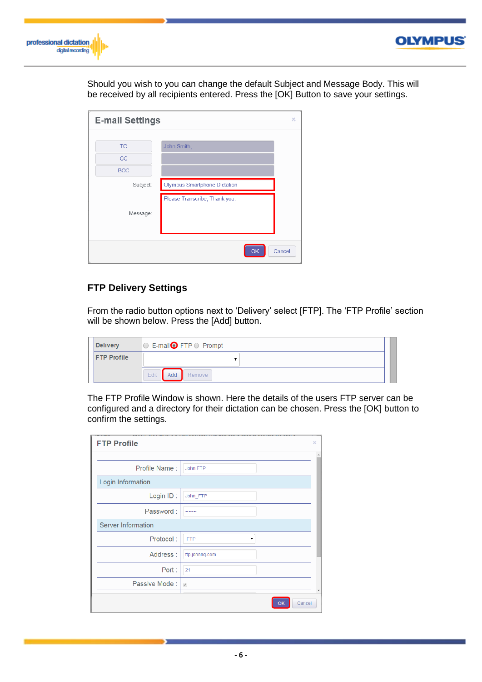



Should you wish to you can change the default Subject and Message Body. This will be received by all recipients entered. Press the [OK] Button to save your settings.

| <b>E-mail Settings</b> |                                     | ×      |
|------------------------|-------------------------------------|--------|
|                        |                                     |        |
| <b>TO</b>              | John Smith,                         |        |
| <b>CC</b>              |                                     |        |
| <b>BCC</b>             |                                     |        |
| Subject:               | <b>Olympus Smartphone Dictation</b> |        |
|                        | Please Transcribe, Thank you.       |        |
| Message:               |                                     |        |
|                        |                                     |        |
|                        |                                     |        |
|                        | OK                                  | Cancel |

#### **FTP Delivery Settings**

From the radio button options next to 'Delivery' select [FTP]. The 'FTP Profile' section will be shown below. Press the [Add] button.

| <b>Delivery</b>    |      | © E-mail● FTP © Prompt |  |
|--------------------|------|------------------------|--|
| <b>FTP Profile</b> |      |                        |  |
|                    | Edit | Add Remove             |  |

The FTP Profile Window is shown. Here the details of the users FTP server can be configured and a directory for their dictation can be chosen. Press the [OK] button to confirm the settings.

| <b>FTP Profile</b>        |                 | × |
|---------------------------|-----------------|---|
|                           |                 |   |
| Profile Name:             | John FTP        |   |
| Login Information         |                 |   |
| Login ID:                 | John FTP        |   |
| Password:                 |                 |   |
| <b>Server Information</b> |                 |   |
| Protocol:                 | <b>FTP</b><br>▼ |   |
| Address:                  | ftp.johnhq.com  |   |
| Port:                     | 21              |   |
| Passive Mode: 0           |                 |   |
|                           | Cancel          |   |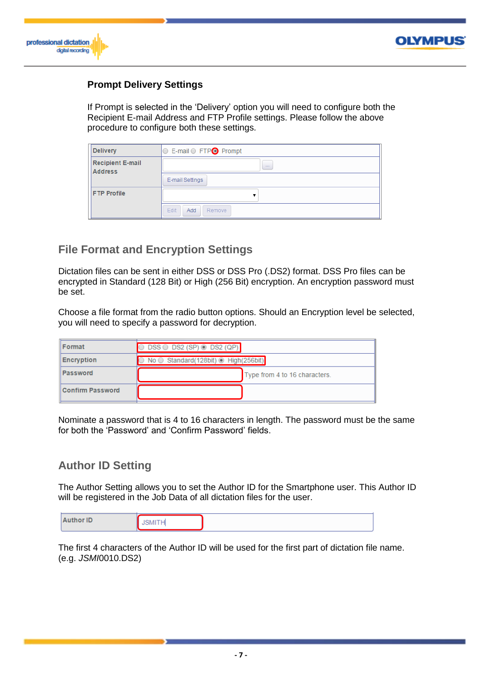



#### **Prompt Delivery Settings**

If Prompt is selected in the 'Delivery' option you will need to configure both the Recipient E-mail Address and FTP Profile settings. Please follow the above procedure to configure both these settings.

| <b>Delivery</b>                           | ◯ E-mail ⊙ FTPO Prompt |
|-------------------------------------------|------------------------|
| <b>Recipient E-mail</b><br><b>Address</b> | <b>COMPANY</b>         |
|                                           | E-mail Settings        |
| <b>FTP Profile</b>                        |                        |
|                                           | Edit<br>Remove<br>Add  |

# **File Format and Encryption Settings**

Dictation files can be sent in either DSS or DSS Pro (.DS2) format. DSS Pro files can be encrypted in Standard (128 Bit) or High (256 Bit) encryption. An encryption password must be set.

Choose a file format from the radio button options. Should an Encryption level be selected, you will need to specify a password for decryption.

| Format                  | $DSS \bigcirc$ DS2 (SP) $\bigcirc$ DS2 (QP) |
|-------------------------|---------------------------------------------|
| Encryption              | No Standard (128bit) de High (256bit)       |
| Password                | Type from 4 to 16 characters.               |
| <b>Confirm Password</b> |                                             |

Nominate a password that is 4 to 16 characters in length. The password must be the same for both the 'Password' and 'Confirm Password' fields.

## **Author ID Setting**

The Author Setting allows you to set the Author ID for the Smartphone user. This Author ID will be registered in the Job Data of all dictation files for the user.

|--|

The first 4 characters of the Author ID will be used for the first part of dictation file name. (e.g. *JSMI*0010.DS2)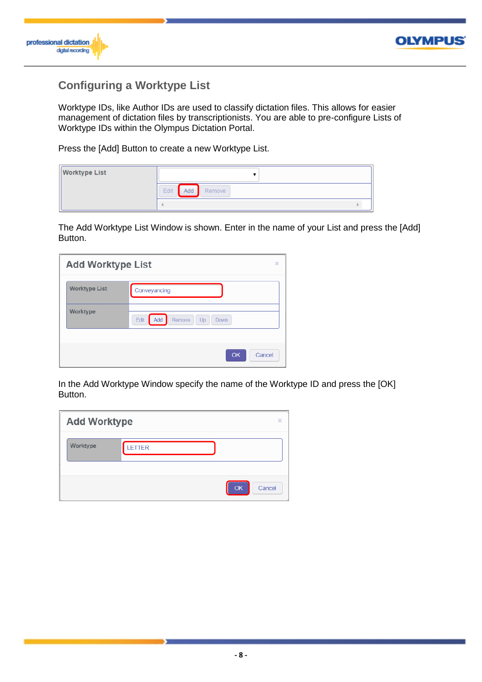



# **Configuring a Worktype List**

Worktype IDs, like Author IDs are used to classify dictation files. This allows for easier management of dictation files by transcriptionists. You are able to pre-configure Lists of Worktype IDs within the Olympus Dictation Portal.

Press the [Add] Button to create a new Worktype List.

| <b>Worktype List</b> |                    |  |
|----------------------|--------------------|--|
|                      | Add Remove<br>Edit |  |
|                      |                    |  |

The Add Worktype List Window is shown. Enter in the name of your List and press the [Add] Button.

| <b>Add Worktype List</b><br>×                   |              |  |  |  |  |  |  |  |  |
|-------------------------------------------------|--------------|--|--|--|--|--|--|--|--|
| <b>Worktype List</b>                            | Conveyancing |  |  |  |  |  |  |  |  |
| Worktype<br>Edit<br>Add<br>Remove<br>Up<br>Down |              |  |  |  |  |  |  |  |  |
|                                                 |              |  |  |  |  |  |  |  |  |

In the Add Worktype Window specify the name of the Worktype ID and press the [OK] Button.

| <b>Add Worktype</b> |        | ×                   |
|---------------------|--------|---------------------|
| Worktype            | LETTER |                     |
|                     |        | <b>OK</b><br>Cancel |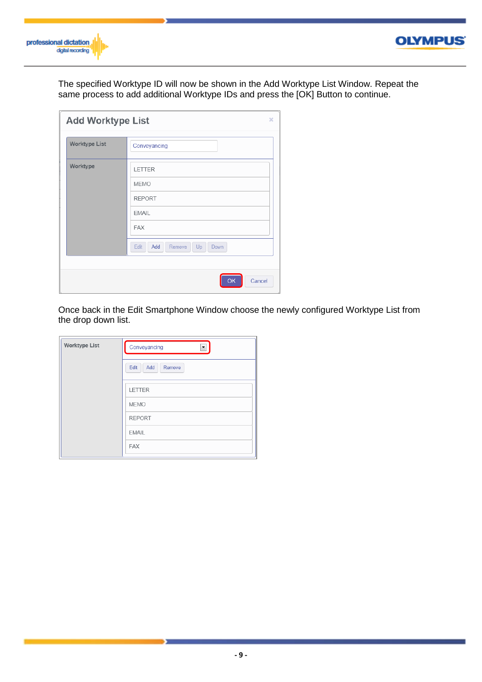

# **OLYMPUS**

The specified Worktype ID will now be shown in the Add Worktype List Window. Repeat the same process to add additional Worktype IDs and press the [OK] Button to continue.

| <b>Add Worktype List</b><br>× |                                     |  |  |  |  |  |  |  |  |
|-------------------------------|-------------------------------------|--|--|--|--|--|--|--|--|
| <b>Worktype List</b>          | Conveyancing                        |  |  |  |  |  |  |  |  |
| Worktype                      | LETTER                              |  |  |  |  |  |  |  |  |
|                               | <b>MEMO</b>                         |  |  |  |  |  |  |  |  |
|                               | <b>REPORT</b>                       |  |  |  |  |  |  |  |  |
|                               | <b>EMAIL</b>                        |  |  |  |  |  |  |  |  |
|                               | <b>FAX</b>                          |  |  |  |  |  |  |  |  |
|                               | Add<br>Remove<br>Up<br>Edit<br>Down |  |  |  |  |  |  |  |  |
|                               |                                     |  |  |  |  |  |  |  |  |
|                               | Cancel<br>OK                        |  |  |  |  |  |  |  |  |

Once back in the Edit Smartphone Window choose the newly configured Worktype List from the drop down list.

| <b>Worktype List</b> | Conveyancing<br>$\blacktriangledown$ |
|----------------------|--------------------------------------|
|                      | Edit<br>Add<br>Remove                |
|                      | <b>LETTER</b>                        |
|                      | <b>MEMO</b>                          |
|                      | <b>REPORT</b>                        |
|                      | <b>EMAIL</b>                         |
|                      | <b>FAX</b>                           |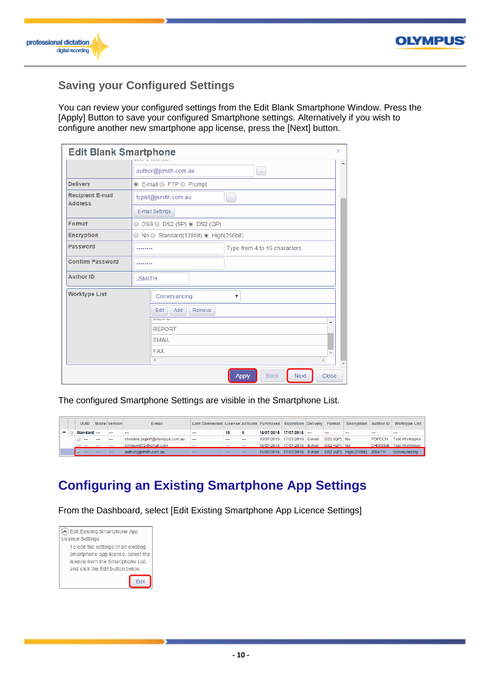



# **Saving your Configured Settings**

You can review your configured settings from the Edit Blank Smartphone Window. Press the [Apply] Button to save your configured Smartphone settings. Alternatively if you wish to configure another new smartphone app license, press the [Next] button.

| <b>Edit Blank Smartphone</b>              |                                        |                                               |                |                            | ×                                |  |  |  |  |  |  |
|-------------------------------------------|----------------------------------------|-----------------------------------------------|----------------|----------------------------|----------------------------------|--|--|--|--|--|--|
|                                           |                                        | author@jsmith.com.au                          | $\bar{\omega}$ |                            |                                  |  |  |  |  |  |  |
| <b>Delivery</b>                           |                                        | <b>E-mail O FTP O Prompt</b>                  |                |                            |                                  |  |  |  |  |  |  |
| <b>Recipient E-mail</b><br><b>Address</b> |                                        | typist@jsmith.com.au                          | $\ldots$       |                            |                                  |  |  |  |  |  |  |
|                                           | E-mail Settings                        |                                               |                |                            |                                  |  |  |  |  |  |  |
| Format                                    |                                        | $\circ$ DSS $\circ$ DS2 (SP) $\circ$ DS2 (QP) |                |                            |                                  |  |  |  |  |  |  |
| <b>Encryption</b>                         | ◯ No ◯ Standard(128bit) ⊙ High(256bit) |                                               |                |                            |                                  |  |  |  |  |  |  |
| Password                                  |                                        | Type from 4 to 16 characters.                 |                |                            |                                  |  |  |  |  |  |  |
| <b>Confirm Password</b>                   |                                        |                                               |                |                            |                                  |  |  |  |  |  |  |
| <b>Author ID</b>                          | <b>JSMITH</b>                          |                                               |                |                            |                                  |  |  |  |  |  |  |
| <b>Worktype List</b>                      |                                        | Conveyancing                                  | ۷.             |                            |                                  |  |  |  |  |  |  |
|                                           |                                        | Remove<br>Add<br>Edit<br><b>IVILIVIV</b>      |                |                            |                                  |  |  |  |  |  |  |
|                                           |                                        | <b>REPORT</b>                                 |                |                            | ▲                                |  |  |  |  |  |  |
|                                           |                                        | <b>EMAIL</b>                                  |                |                            |                                  |  |  |  |  |  |  |
| <b>FAX</b>                                |                                        |                                               |                |                            |                                  |  |  |  |  |  |  |
|                                           |                                        | $\triangleleft$                               |                |                            |                                  |  |  |  |  |  |  |
|                                           |                                        |                                               | <b>Apply</b>   | <b>Back</b><br><b>Next</b> | $\overline{\mathbf{v}}$<br>Close |  |  |  |  |  |  |

The configured Smartphone Settings are visible in the Smartphone List.

|  | <b>UUID</b> |     | Model Version | E-mail                          | Last Connected License Activate Purchased Expiration Delivery Format |         |     |                                          |                              |             | <b>Encryption Author ID</b> |               | Worktype List           |
|--|-------------|-----|---------------|---------------------------------|----------------------------------------------------------------------|---------|-----|------------------------------------------|------------------------------|-------------|-----------------------------|---------------|-------------------------|
|  | Standard -- |     | ---           | $-$                             | ---                                                                  | 10      |     |                                          | 16/07/2015 17/07/2016        | ---         | $\sim$                      | $-$           | ---                     |
|  | ---         |     |               | christina.popoff@olympus.com.au | $\cdots$                                                             | ---     |     |                                          | 16/07/2015 17/07/2016 E-mail | DS2 (QP) No |                             |               | POPOCH   Test Worktypes |
|  |             |     |               | Chrissie872@gmail.com           |                                                                      | $- - -$ |     | 16/07/2015 17/07/2016 E-mail DS2 (QP) No |                              |             |                             |               | CHRISSIE Test Worktypes |
|  |             | $-$ |               | author@ismith.com.au            | $-$                                                                  | --      | $-$ |                                          | 16/07/2015 17/07/2016 E-mail |             | DS2 (QP) High (256bit)      | <b>JSMITH</b> | Convevancing            |

# **Configuring an Existing Smartphone App Settings**

From the Dashboard, select [Edit Existing Smartphone App Licence Settings]

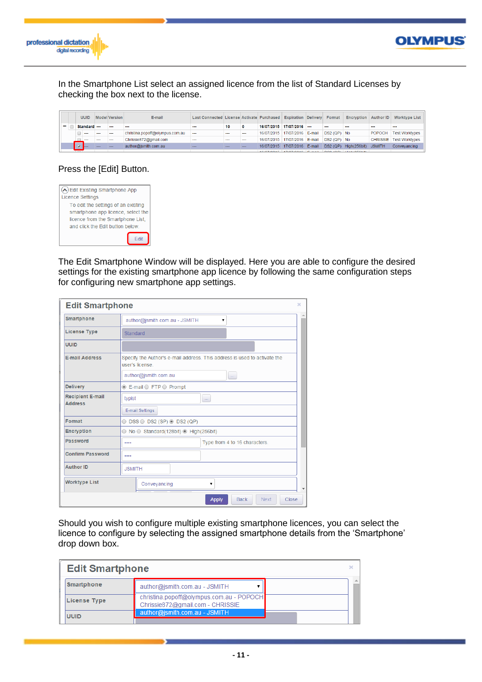



In the Smartphone List select an assigned licence from the list of Standard Licenses by checking the box next to the license.

|   | <b>UUID</b>    |     | <b>Model Version</b> | E-mail                          | Last Connected License Activate Purchased Expiration Delivery |     |          |                              |  | Format       | <b>Encryption   Author ID  </b> |               | <b>Worktype List</b>             |
|---|----------------|-----|----------------------|---------------------------------|---------------------------------------------------------------|-----|----------|------------------------------|--|--------------|---------------------------------|---------------|----------------------------------|
| - | Standard ---   |     |                      | ---                             | ---                                                           | 10  | $\bf{0}$ | 16/07/2015 17/07/2016 ---    |  |              | $- - -$                         | $- - -$       | $- - -$                          |
|   | $\sim$         | --- | ---                  | christina.popoff@olympus.com.au | $-$                                                           | --- | ---      | 16/07/2015 17/07/2016 E-mail |  | DS2 (QP) No  |                                 | <b>POPOCH</b> | Fest Worktypes                   |
|   | $-$            | $-$ | $-$                  | Chrissie872@gmail.com           | ---                                                           | $-$ | $- - -$  | 16/07/2015 17/07/2016 E-mail |  | $DS2(QP)$ No |                                 |               | <b>CHRISSIE</b>   Test Worktypes |
|   | <b>Barnett</b> |     |                      | author@jsmith.com.au            | ---                                                           | --- | $-$      | 16/07/2015 17/07/2016 E-mail |  | DS2 (QP)     | High(256bit)                    | <b>JSMITH</b> | Conveyancing                     |

#### Press the [Edit] Button.

| $\blacktriangle$ ) Edit Existing Smartphone App |
|-------------------------------------------------|
| <b>Licence Settings</b>                         |
| To edit the settings of an existing             |
| smartphone app licence, select the              |
| licence from the Smartphone List.               |
| and click the Edit button below.                |
| Fdit                                            |

The Edit Smartphone Window will be displayed. Here you are able to configure the desired settings for the existing smartphone app licence by following the same configuration steps for configuring new smartphone app settings.

| <b>Edit Smartphone</b><br>×                                                                                           |                                   |                                                          |  |              |             |             |       |
|-----------------------------------------------------------------------------------------------------------------------|-----------------------------------|----------------------------------------------------------|--|--------------|-------------|-------------|-------|
| Smartphone                                                                                                            |                                   | author@jsmith.com.au - JSMITH                            |  | ۷            |             |             |       |
| <b>License Type</b>                                                                                                   |                                   | Standard                                                 |  |              |             |             |       |
| <b>UUID</b>                                                                                                           |                                   |                                                          |  |              |             |             |       |
| <b>E-mail Address</b><br>Specify the Author's e-mail address. This address is used to activate the<br>user's license. |                                   |                                                          |  |              |             |             |       |
|                                                                                                                       |                                   | author@jsmith.com.au<br>$\ldots$                         |  |              |             |             |       |
| <b>Delivery</b>                                                                                                       |                                   | ⊙ E-mail ⊙ FTP ⊙ Prompt                                  |  |              |             |             |       |
| <b>Recipient E-mail</b><br><b>Address</b>                                                                             | typist<br>m.                      |                                                          |  |              |             |             |       |
| E-mail Settings                                                                                                       |                                   |                                                          |  |              |             |             |       |
| Format                                                                                                                |                                   | $\circ$ DSS $\circ$ DS2 (SP) $\circ$ DS2 (QP)            |  |              |             |             |       |
| <b>Encryption</b>                                                                                                     |                                   | $\circ$ No $\circ$ Standard(128bit) $\circ$ High(256bit) |  |              |             |             |       |
| Password                                                                                                              | Type from 4 to 16 characters.<br> |                                                          |  |              |             |             |       |
| <b>Confirm Password</b>                                                                                               |                                   |                                                          |  |              |             |             |       |
| <b>Author ID</b>                                                                                                      | <b>JSMITH</b>                     |                                                          |  |              |             |             |       |
| <b>Worktype List</b>                                                                                                  |                                   | Conveyancing<br>7                                        |  |              |             |             |       |
|                                                                                                                       |                                   |                                                          |  | <b>Apply</b> | <b>Back</b> | <b>Next</b> | Close |

Should you wish to configure multiple existing smartphone licences, you can select the licence to configure by selecting the assigned smartphone details from the 'Smartphone' drop down box.

| <b>Edit Smartphone</b> |                                                                              |  |
|------------------------|------------------------------------------------------------------------------|--|
| <b>Smartphone</b>      | author@jsmith.com.au - JSMITH                                                |  |
| License Type           | christina.popoff@olympus.com.au - POPOCH<br>Chrissie872@gmail.com - CHRISSIE |  |
| <b>UUID</b>            | author@jsmith.com.au - JSMITH                                                |  |